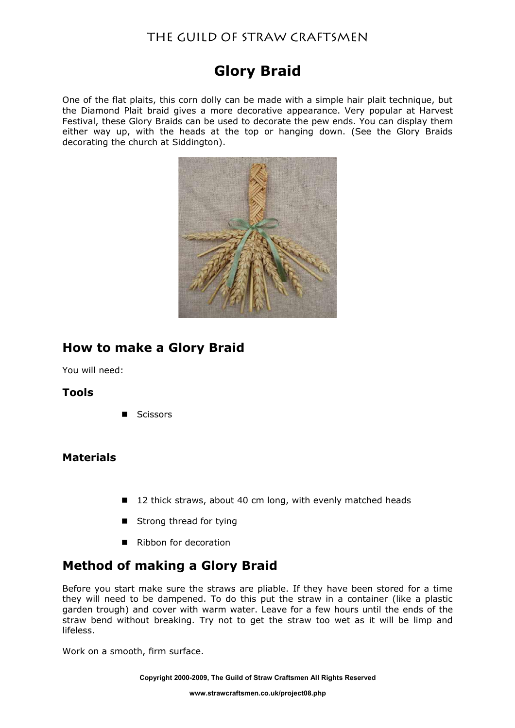## The Guild of Straw Craftsmen

# **Glory Braid**

One of the flat plaits, this corn dolly can be made with a simple hair plait technique, but the Diamond Plait braid gives a more decorative appearance. Very popular at Harvest Festival, these Glory Braids can be used to decorate the pew ends. You can display them either way up, with the heads at the top or hanging down. (See the Glory Braids decorating the church at Siddington).



## **How to make a Glory Braid**

You will need:

### **Tools**

■ Scissors

### **Materials**

- 12 thick straws, about 40 cm long, with evenly matched heads
- Strong thread for tying
- Ribbon for decoration

## **Method of making a Glory Braid**

Before you start make sure the straws are pliable. If they have been stored for a time they will need to be dampened. To do this put the straw in a container (like a plastic garden trough) and cover with warm water. Leave for a few hours until the ends of the straw bend without breaking. Try not to get the straw too wet as it will be limp and lifeless.

Work on a smooth, firm surface.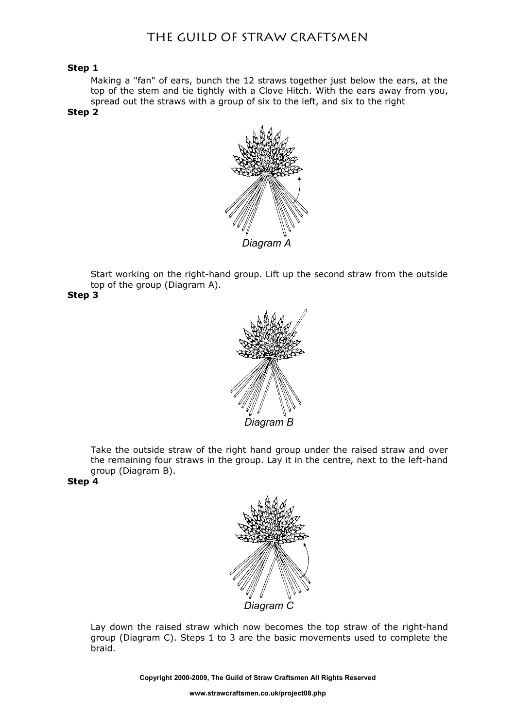### The Guild of Straw Craftsmen

#### **Step 1**

Making a "fan" of ears, bunch the 12 straws together just below the ears, at the top of the stem and tie tightly with a Clove Hitch. With the ears away from you, spread out the straws with a group of six to the left, and six to the right

#### **Step 2**



Start working on the right-hand group. Lift up the second straw from the outside top of the group (Diagram A).

**Step 3**



Take the outside straw of the right hand group under the raised straw and over the remaining four straws in the group. Lay it in the centre, next to the left-hand group (Diagram B).

#### **Step 4**



Lay down the raised straw which now becomes the top straw of the right-hand group (Diagram C). Steps 1 to 3 are the basic movements used to complete the braid.

**Copyright 2000-2009, The Guild of Straw Craftsmen All Rights Reserved**